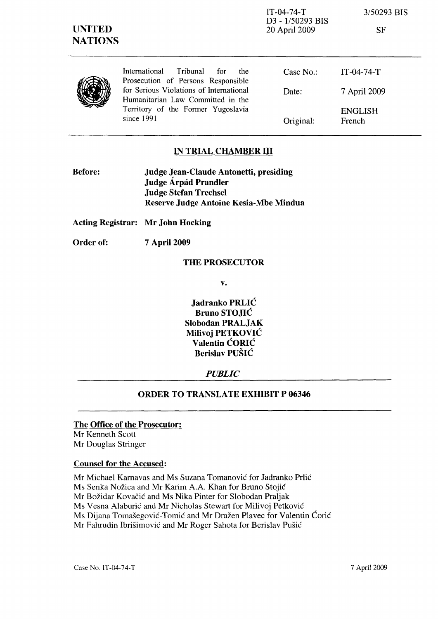| <b>UNITED</b><br><b>NATIONS</b> |                                                                                                                                  | $IT-04-74-T$<br>D3 - 1/50293 BIS<br>20 April 2009 | 3/50293 BIS<br><b>SF</b> |
|---------------------------------|----------------------------------------------------------------------------------------------------------------------------------|---------------------------------------------------|--------------------------|
|                                 | International<br>Tribunal<br>for<br>the.<br>Prosecution of Persons Responsible                                                   | Case $No.$ :                                      | $IT-04-74-T$             |
|                                 | for Serious Violations of International<br>Humanitarian Law Committed in the<br>Territory of the Former Yugoslavia<br>since 1991 | Date:                                             | 7 April 2009             |
|                                 |                                                                                                                                  | Original:                                         | <b>ENGLISH</b><br>French |

### **IN TRIAL CHAMBER III**

| <b>Before:</b> | Judge Jean-Claude Antonetti, presiding |  |
|----------------|----------------------------------------|--|
|                | Judge Árpád Prandler                   |  |
|                | <b>Judge Stefan Trechsel</b>           |  |
|                | Reserve Judge Antoine Kesia-Mbe Mindua |  |

**Acting Registrar: Mr John Hocking** 

**Order of: 7** April 2009

#### **THE PROSECUTOR**

**v.** 

**Jadranko PRLIC Bruno STOJIC Slobodan PRALJAK Milivoj PETKOVIC Valentin CORIC Berislav PUSIC** 

### *PUBLIC*

#### **ORDER TO TRANSLATE EXHIBIT P 06346**

## **The Office of the Prosecutor:**

Mr Kenneth Scott Mr Douglas Stringer

#### **Counsel for the Accused:**

Mr Michael Karnavas and Ms Suzana Tomanovic for Jadranko Prlic Ms Senka Nozica and Mr Karim A.A. Khan for Bruno Stojic Mr Božidar Kovačić and Ms Nika Pinter for Slobodan Praljak Ms Vesna Alaburic and Mr Nicholas Stewart for Milivoj Petkovic Ms Dijana Tomasegovic-Tomic and Mr Drazen Plavec for Valentin Coric Mr Fahrudin Ibrisimovic and Mr Roger Sahota for Berislav Pusic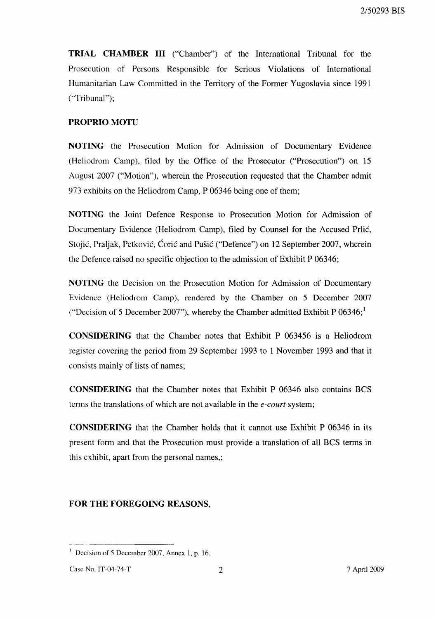**TRIAL CHAMBER III** ("Chamber") of the International Tribunal for the Prosecution of Persons Responsible for Serious Violations of International Humanitarian Law Committed in the Territory of the Former Yugoslavia since 1991 ("Tribunal");

# **PROPRIO MOTU**

**NOTING** the Prosecution Motion for Admission of Documentary Evidence (Heliodrom Camp), filed by the Office of the Prosecutor ("Prosecution") on 15 August 2007 ("Motion"), wherein the Prosecution requested that the Chamber admit 973 exhibits on the Heliodrom Camp, P 06346 being one of them;

**NOTING** the Joint Defence Response to Prosecution Motion for Admission of Documentary Evidence (Heliodrom Camp), filed by Counsel for the Accused Prlic, Stojić, Praljak, Petković, Ćorić and Pušić ("Defence") on 12 September 2007, wherein the Defence raised no specific objection to the admission of Exhibit P 06346;

**NOTING** the Decision on the Prosecution Motion for Admission of Documentary Evidence (Heliodrom Camp), rendered by the Chamber on 5 December 2007 ("Decision of 5 December 2007"), whereby the Chamber admitted Exhibit P  $06346;$ <sup>1</sup>

**CONSIDERING** that the Chamber notes that Exhibit P 063456 is a Heliodrom register covering the period from 29 September 1993 to 1 November 1993 and that it consists mainly of lists of names;

**CONSIDERING** that the Chamber notes that Exhibit P 06346 also contains BCS terms the translations of which are not available in the *e-court* system;

**CONSIDERING** that the Chamber holds that it cannot use Exhibit P 06346 in its present form and that the Prosecution must provide a translation of all BCS terms in this exhibit, apart from the personal names,;

# **FOR THE FOREGOING REASONS,**

<sup>&</sup>lt;sup>1</sup> Decision of 5 December 2007, Annex 1, p. 16.